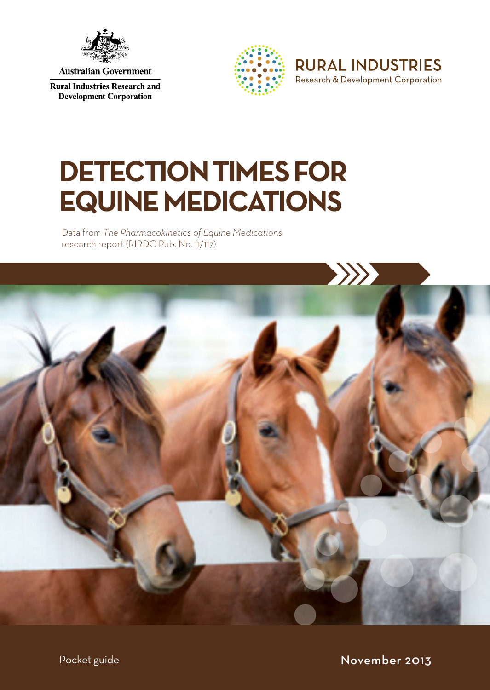

**Australian Government** 

**Rural Industries Research and Development Corporation** 





# **DETECTION TIMES FOR EQUINE MEDICATIONS**

Data from *The Pharmacokinetics of Equine Medications* research report (RIRDC Pub. No. 11/117)



Pocket guide November 2013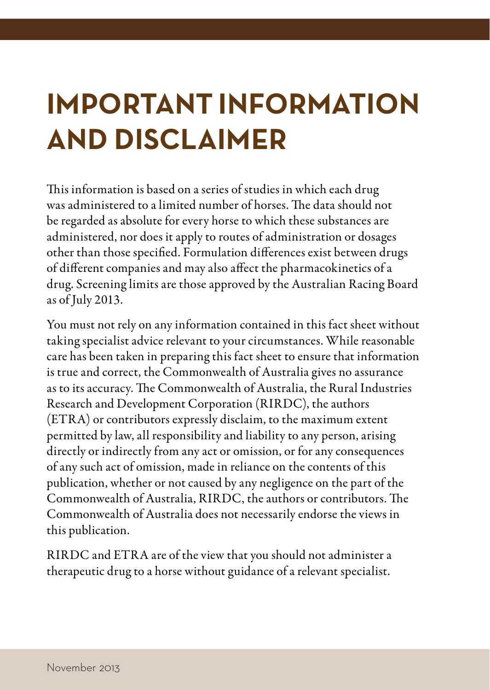# **IMPORTANT INFORMATION AND DISCLAIMER**

This information is based on a series of studies in which each drug was administered to a limited number of horses. The data should not be regarded as absolute for every horse to which these substances are administered, nor does it apply to routes of administration or dosages other than those specified. Formulation differences exist between drugs of different companies and may also affect the pharmacokinetics of a drug. Screening limits are those approved by the Australian Racing Board as of July 2013.

You must not rely on any information contained in this fact sheet without taking specialist advice relevant to your circumstances. While reasonable care has been taken in preparing this fact sheet to ensure that information is true and correct, the Commonwealth of Australia gives no assurance as to its accuracy. The Commonwealth of Australia, the Rural Industries Research and Development Corporation (RIRDC), the authors (ETRA) or contributors expressly disclaim, to the maximum extent permitted by law, all responsibility and liability to any person, arising directly or indirectly from any act or omission, or for any consequences of any such act of omission, made in reliance on the contents of this publication, whether or not caused by any negligence on the part of the Commonwealth of Australia, RIRDC, the authors or contributors. The Commonwealth of Australia does not necessarily endorse the views in this publication.

RIRDC and ETRA are of the view that you should not administer a therapeutic drug to a horse without guidance of a relevant specialist.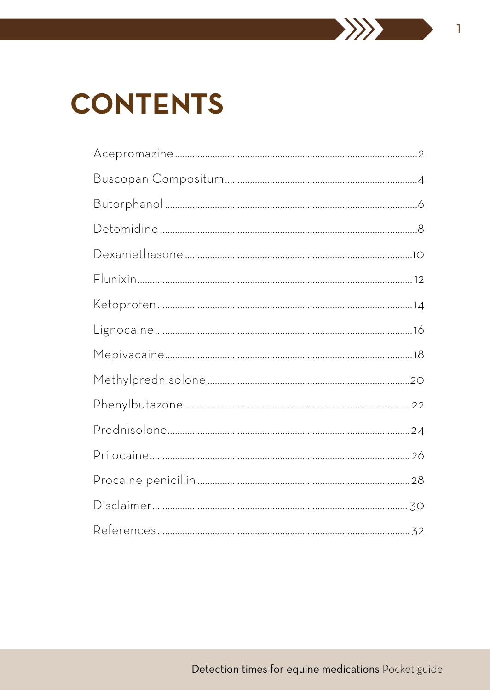# **CONTENTS**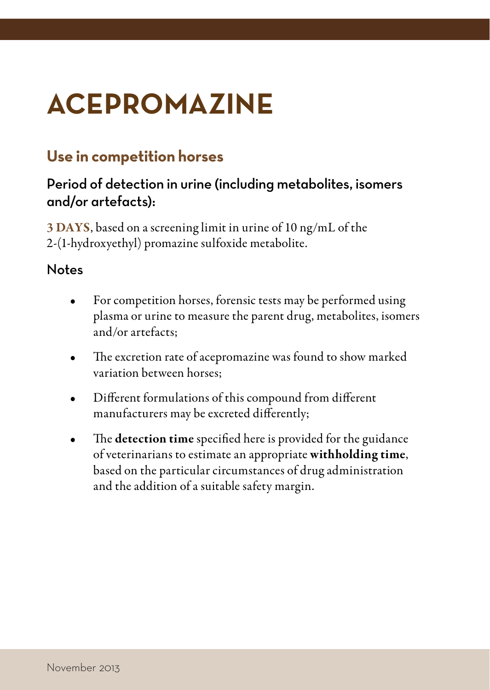# <span id="page-3-0"></span>**ACEPROMAZINE**

# **Use in competition horses**

# Period of detection in urine (including metabolites, isomers and/or artefacts):

3 DAYS, based on a screening limit in urine of 10 ng/mL of the 2-(1-hydroxyethyl) promazine sulfoxide metabolite.

- For competition horses, forensic tests may be performed using plasma or urine to measure the parent drug, metabolites, isomers and/or artefacts;
- The excretion rate of acepromazine was found to show marked variation between horses;
- Different formulations of this compound from different manufacturers may be excreted differently;
- The detection time specified here is provided for the guidance of veterinarians to estimate an appropriate withholding time, based on the particular circumstances of drug administration and the addition of a suitable safety margin.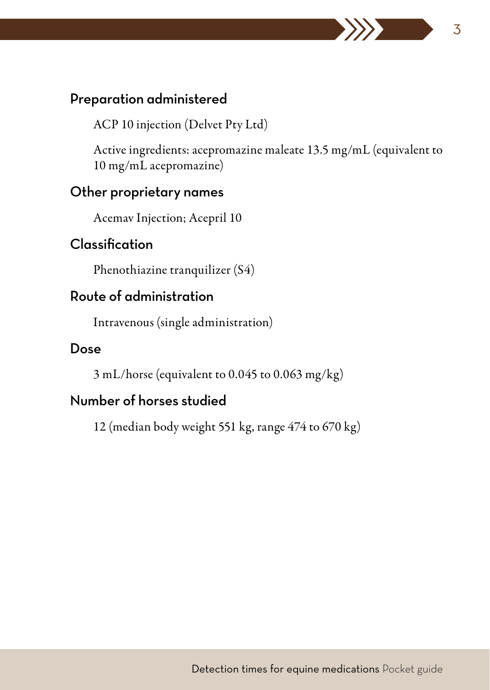ACP 10 injection (Delvet Pty Ltd)

Active ingredients: acepromazine maleate 13.5 mg/mL (equivalent to 10 mg/mL acepromazine)

## Other proprietary names

Acemav Injection; Acepril 10

## Classification

Phenothiazine tranquilizer (S4)

## Route of administration

Intravenous (single administration)

#### Dose

3 mL/horse (equivalent to 0.045 to 0.063 mg/kg)

# Number of horses studied

12 (median body weight 551 kg, range 474 to 670 kg)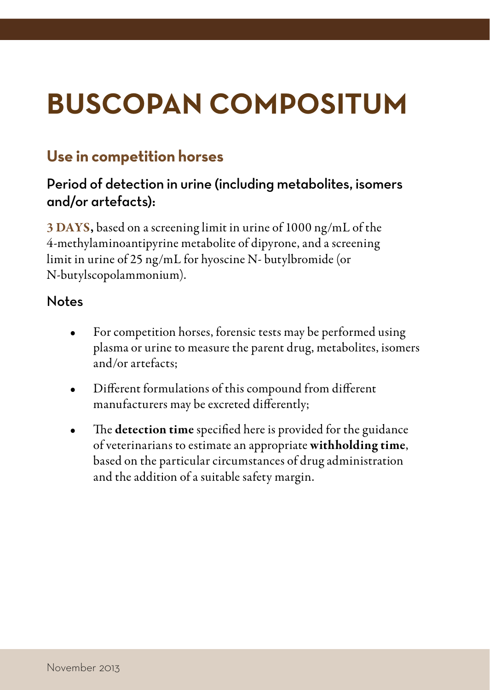# <span id="page-5-0"></span>**BUSCOPAN COMPOSITUM**

# **Use in competition horses**

# Period of detection in urine (including metabolites, isomers and/or artefacts):

3 DAYS, based on a screening limit in urine of 1000 ng/mL of the 4-methylaminoantipyrine metabolite of dipyrone, and a screening limit in urine of 25 ng/mL for hyoscine N- butylbromide (or N-butylscopolammonium).

- For competition horses, forensic tests may be performed using plasma or urine to measure the parent drug, metabolites, isomers and/or artefacts;
- Different formulations of this compound from different manufacturers may be excreted differently;
- The detection time specified here is provided for the guidance of veterinarians to estimate an appropriate withholding time, based on the particular circumstances of drug administration and the addition of a suitable safety margin.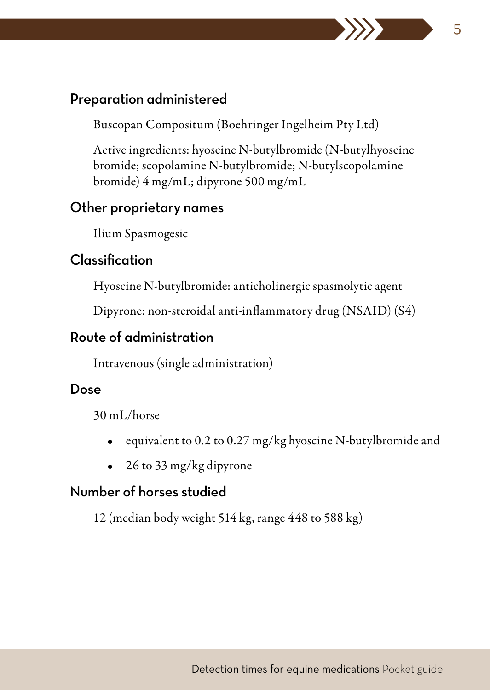Buscopan Compositum (Boehringer Ingelheim Pty Ltd)

Active ingredients: hyoscine N-butylbromide (N-butylhyoscine bromide; scopolamine N-butylbromide; N-butylscopolamine bromide) 4 mg/mL; dipyrone 500 mg/mL

## Other proprietary names

Ilium Spasmogesic

# Classification

Hyoscine N-butylbromide: anticholinergic spasmolytic agent

Dipyrone: non-steroidal anti-inflammatory drug (NSAID) (S4)

# Route of administration

Intravenous (single administration)

# Dose

30 mL/horse

- equivalent to 0.2 to 0.27 mg/kg hyoscine N-butylbromide and
- 26 to 33 mg/kg dipyrone

# Number of horses studied

12 (median body weight 514 kg, range 448 to 588 kg)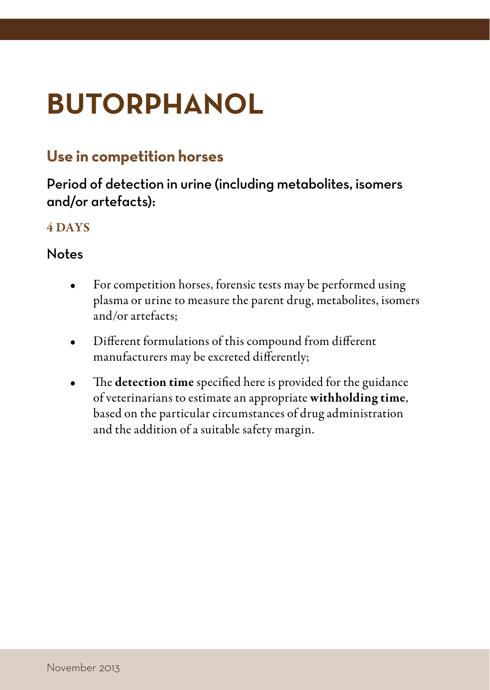# <span id="page-7-0"></span>**BUTORPHANOL**

# **Use in competition horses**

# Period of detection in urine (including metabolites, isomers and/or artefacts):

### 4 DAYS

- For competition horses, forensic tests may be performed using plasma or urine to measure the parent drug, metabolites, isomers and/or artefacts;
- Different formulations of this compound from different manufacturers may be excreted differently;
- The detection time specified here is provided for the guidance of veterinarians to estimate an appropriate withholding time, based on the particular circumstances of drug administration and the addition of a suitable safety margin.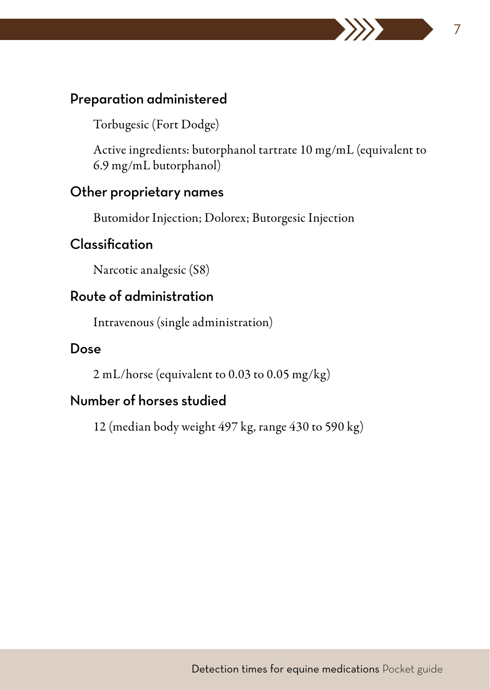Torbugesic (Fort Dodge)

Active ingredients: butorphanol tartrate 10 mg/mL (equivalent to 6.9 mg/mL butorphanol)

#### Other proprietary names

Butomidor Injection; Dolorex; Butorgesic Injection

# Classification

Narcotic analgesic (S8)

## Route of administration

Intravenous (single administration)

#### Dose

2 mL/horse (equivalent to 0.03 to 0.05 mg/kg)

# Number of horses studied

12 (median body weight 497 kg, range 430 to 590 kg)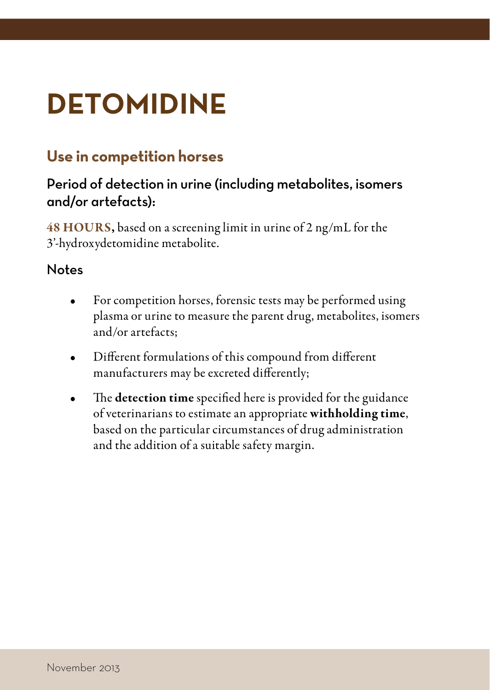# <span id="page-9-0"></span>**DETOMIDINE**

# **Use in competition horses**

# Period of detection in urine (including metabolites, isomers and/or artefacts):

48 HOURS, based on a screening limit in urine of 2 ng/mL for the 3'-hydroxydetomidine metabolite.

- For competition horses, forensic tests may be performed using plasma or urine to measure the parent drug, metabolites, isomers and/or artefacts;
- Different formulations of this compound from different manufacturers may be excreted differently;
- The detection time specified here is provided for the guidance of veterinarians to estimate an appropriate withholding time, based on the particular circumstances of drug administration and the addition of a suitable safety margin.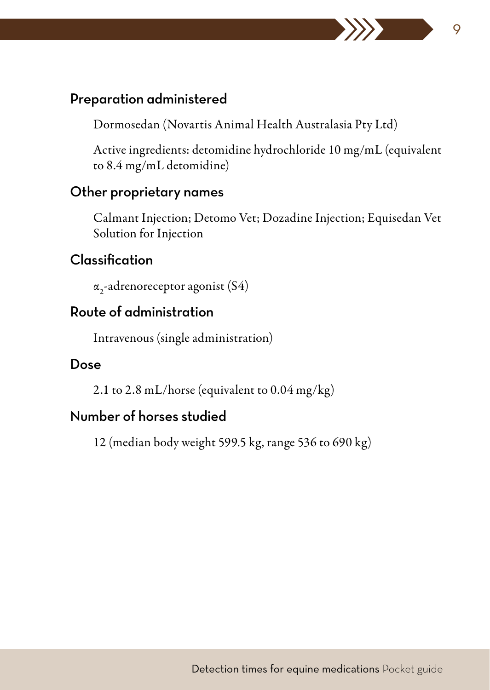Dormosedan (Novartis Animal Health Australasia Pty Ltd)

Active ingredients: detomidine hydrochloride 10 mg/mL (equivalent to 8.4 mg/mL detomidine)

#### Other proprietary names

Calmant Injection; Detomo Vet; Dozadine Injection; Equisedan Vet Solution for Injection

## Classification

 $\alpha_{2}$ -adrenoreceptor agonist (S4)

## Route of administration

Intravenous (single administration)

## Dose

2.1 to 2.8 mL/horse (equivalent to 0.04 mg/kg)

## Number of horses studied

12 (median body weight 599.5 kg, range 536 to 690 kg)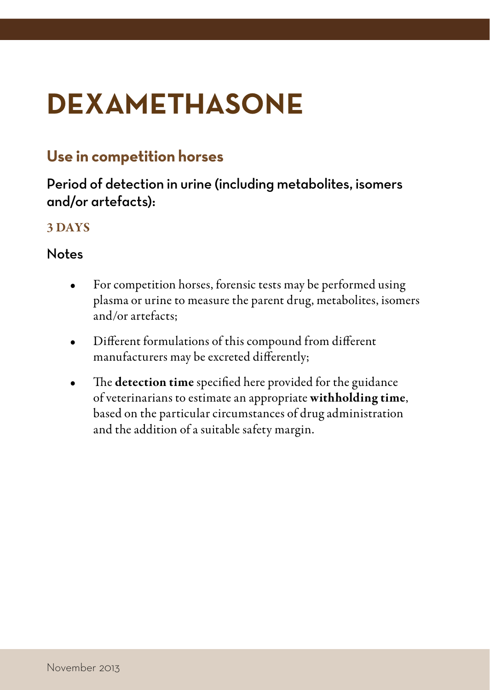# <span id="page-11-0"></span>**DEXAMETHASONE**

# **Use in competition horses**

# Period of detection in urine (including metabolites, isomers and/or artefacts):

### 3 DAYS

- For competition horses, forensic tests may be performed using plasma or urine to measure the parent drug, metabolites, isomers and/or artefacts;
- Different formulations of this compound from different manufacturers may be excreted differently;
- The detection time specified here provided for the guidance of veterinarians to estimate an appropriate withholding time, based on the particular circumstances of drug administration and the addition of a suitable safety margin.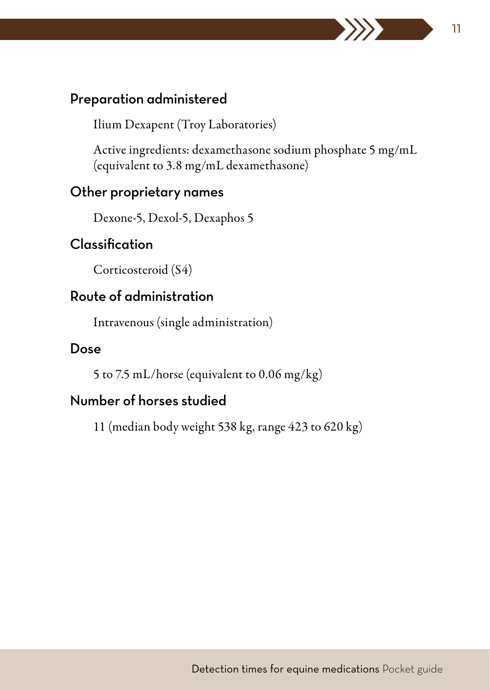Ilium Dexapent (Troy Laboratories)

Active ingredients: dexamethasone sodium phosphate 5 mg/mL (equivalent to 3.8 mg/mL dexamethasone)

#### Other proprietary names

Dexone-5, Dexol-5, Dexaphos 5

# Classification

Corticosteroid (S4)

## Route of administration

Intravenous (single administration)

#### Dose

5 to 7.5 mL/horse (equivalent to 0.06 mg/kg)

# Number of horses studied

11 (median body weight 538 kg, range 423 to 620 kg)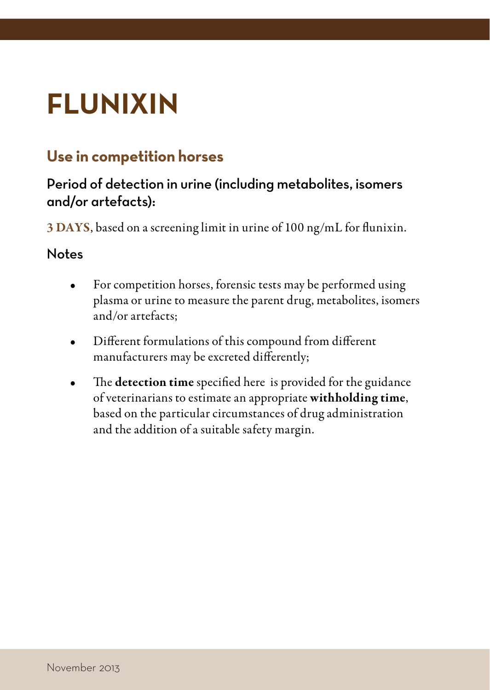# <span id="page-13-0"></span>**FLUNIXIN**

# **Use in competition horses**

# Period of detection in urine (including metabolites, isomers and/or artefacts):

3 DAYS, based on a screening limit in urine of 100 ng/mL for flunixin.

- For competition horses, forensic tests may be performed using plasma or urine to measure the parent drug, metabolites, isomers and/or artefacts;
- Different formulations of this compound from different manufacturers may be excreted differently;
- The detection time specified here is provided for the guidance of veterinarians to estimate an appropriate withholding time, based on the particular circumstances of drug administration and the addition of a suitable safety margin.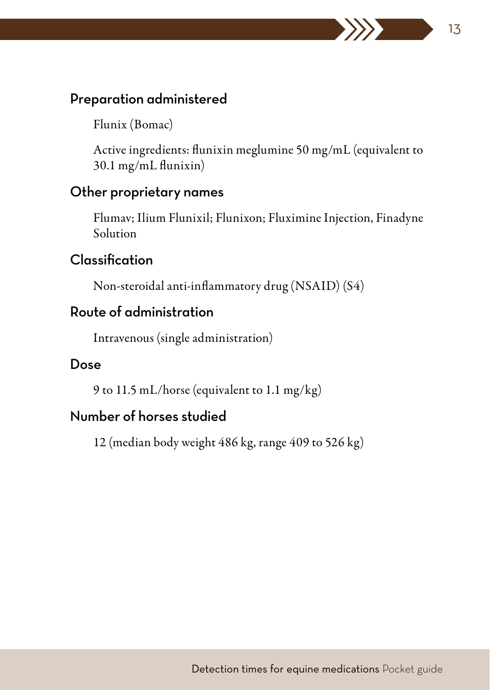Flunix (Bomac)

Active ingredients: flunixin meglumine 50 mg/mL (equivalent to 30.1 mg/mL flunixin)

#### Other proprietary names

Flumav; Ilium Flunixil; Flunixon; Fluximine Injection, Finadyne Solution

## Classification

Non-steroidal anti-inflammatory drug (NSAID) (S4)

# Route of administration

Intravenous (single administration)

#### Dose

9 to 11.5 mL/horse (equivalent to 1.1 mg/kg)

## Number of horses studied

12 (median body weight 486 kg, range 409 to 526 kg)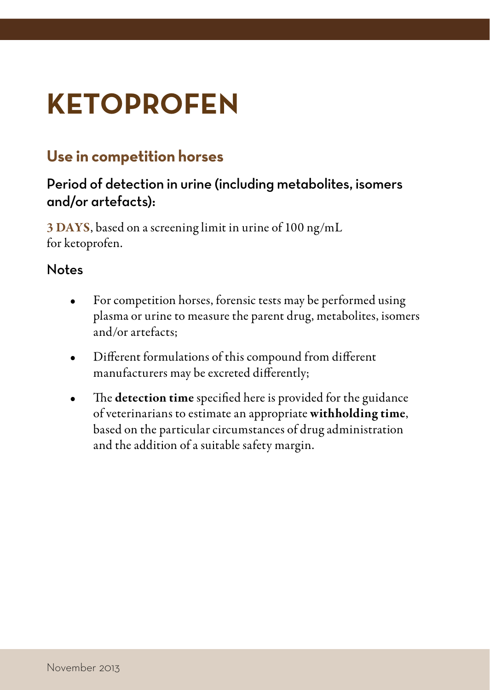# <span id="page-15-0"></span>**KETOPROFEN**

# **Use in competition horses**

# Period of detection in urine (including metabolites, isomers and/or artefacts):

3 DAYS, based on a screening limit in urine of 100 ng/mL for ketoprofen.

- For competition horses, forensic tests may be performed using plasma or urine to measure the parent drug, metabolites, isomers and/or artefacts;
- Different formulations of this compound from different manufacturers may be excreted differently;
- The detection time specified here is provided for the guidance of veterinarians to estimate an appropriate withholding time, based on the particular circumstances of drug administration and the addition of a suitable safety margin.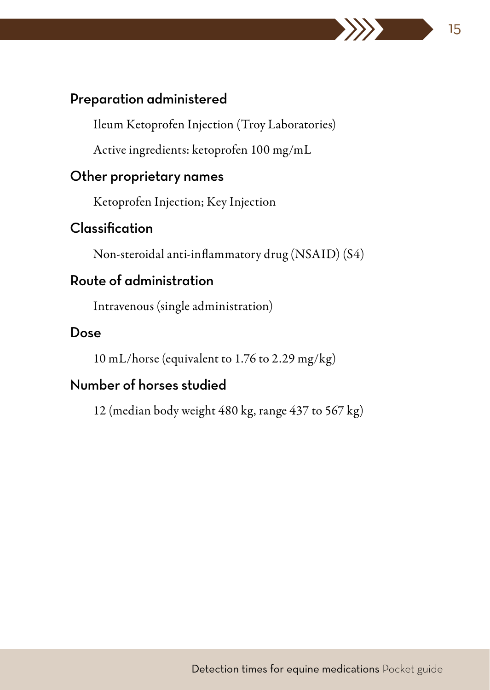Ileum Ketoprofen Injection (Troy Laboratories)

15

Active ingredients: ketoprofen 100 mg/mL

## Other proprietary names

Ketoprofen Injection; Key Injection

# Classification

Non-steroidal anti-inflammatory drug (NSAID) (S4)

# Route of administration

Intravenous (single administration)

#### Dose

10 mL/horse (equivalent to 1.76 to 2.29 mg/kg)

# Number of horses studied

12 (median body weight 480 kg, range 437 to 567 kg)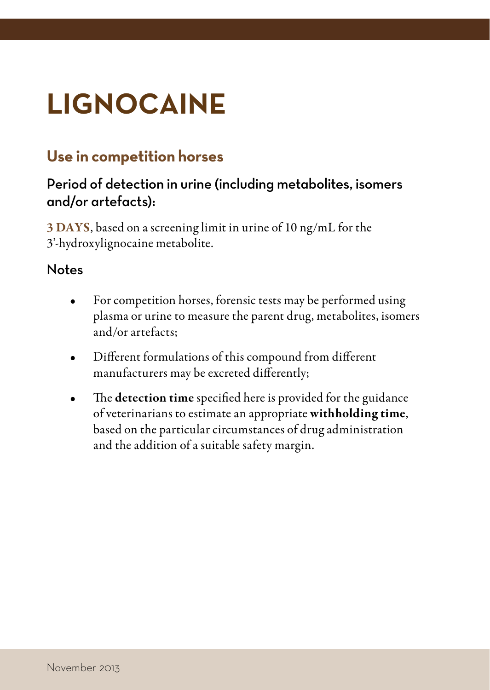# <span id="page-17-0"></span>**LIGNOCAINE**

# **Use in competition horses**

# Period of detection in urine (including metabolites, isomers and/or artefacts):

3 DAYS, based on a screening limit in urine of 10 ng/mL for the 3'-hydroxylignocaine metabolite.

- For competition horses, forensic tests may be performed using plasma or urine to measure the parent drug, metabolites, isomers and/or artefacts;
- Different formulations of this compound from different manufacturers may be excreted differently;
- The detection time specified here is provided for the guidance of veterinarians to estimate an appropriate withholding time, based on the particular circumstances of drug administration and the addition of a suitable safety margin.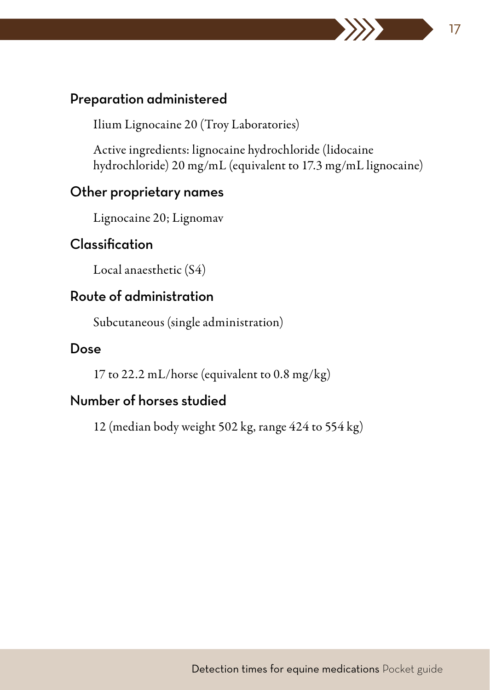Ilium Lignocaine 20 (Troy Laboratories)

Active ingredients: lignocaine hydrochloride (lidocaine hydrochloride) 20 mg/mL (equivalent to 17.3 mg/mL lignocaine)

### Other proprietary names

Lignocaine 20; Lignomav

## Classification

Local anaesthetic (S4)

## Route of administration

Subcutaneous (single administration)

#### Dose

17 to 22.2 mL/horse (equivalent to 0.8 mg/kg)

# Number of horses studied

12 (median body weight 502 kg, range 424 to 554 kg)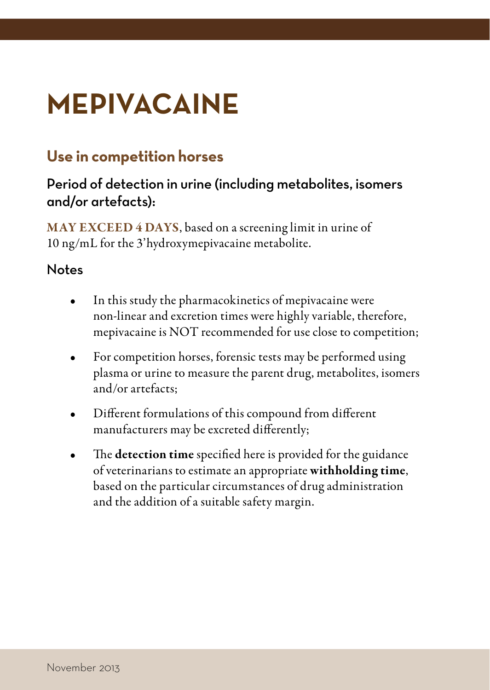# <span id="page-19-0"></span>**MEPIVACAINE**

# **Use in competition horses**

# Period of detection in urine (including metabolites, isomers and/or artefacts):

MAY EXCEED 4 DAYS, based on a screening limit in urine of 10 ng/mL for the 3'hydroxymepivacaine metabolite.

- In this study the pharmacokinetics of mepivacaine were non-linear and excretion times were highly variable, therefore, mepivacaine is NOT recommended for use close to competition;
- For competition horses, forensic tests may be performed using plasma or urine to measure the parent drug, metabolites, isomers and/or artefacts;
- Different formulations of this compound from different manufacturers may be excreted differently;
- The detection time specified here is provided for the guidance of veterinarians to estimate an appropriate withholding time, based on the particular circumstances of drug administration and the addition of a suitable safety margin.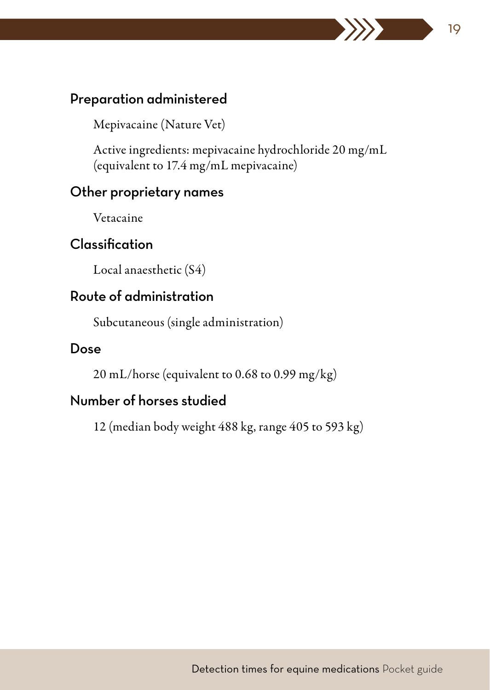Mepivacaine (Nature Vet)

Active ingredients: mepivacaine hydrochloride 20 mg/mL (equivalent to 17.4 mg/mL mepivacaine)

#### Other proprietary names

Vetacaine

# Classification

Local anaesthetic (S4)

## Route of administration

Subcutaneous (single administration)

#### Dose

20 mL/horse (equivalent to 0.68 to 0.99 mg/kg)

# Number of horses studied

12 (median body weight 488 kg, range 405 to 593 kg)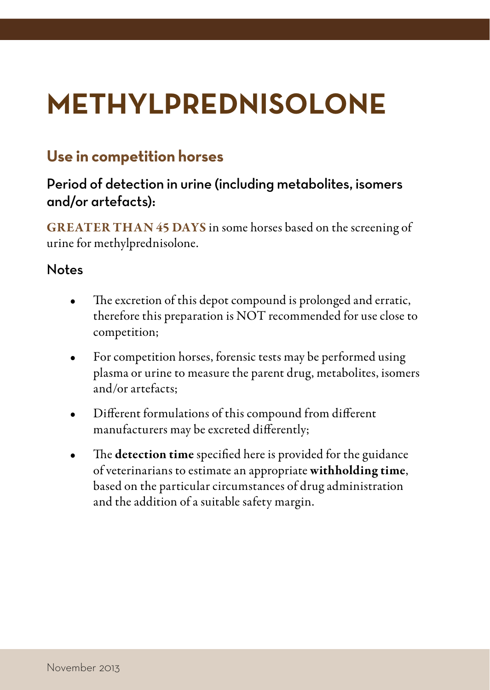# <span id="page-21-0"></span>**METHYLPREDNISOLONE**

# **Use in competition horses**

# Period of detection in urine (including metabolites, isomers and/or artefacts):

GREATER THAN 45 DAYS in some horses based on the screening of urine for methylprednisolone.

- The excretion of this depot compound is prolonged and erratic, therefore this preparation is NOT recommended for use close to competition;
- For competition horses, forensic tests may be performed using plasma or urine to measure the parent drug, metabolites, isomers and/or artefacts;
- Different formulations of this compound from different manufacturers may be excreted differently;
- The detection time specified here is provided for the guidance of veterinarians to estimate an appropriate withholding time, based on the particular circumstances of drug administration and the addition of a suitable safety margin.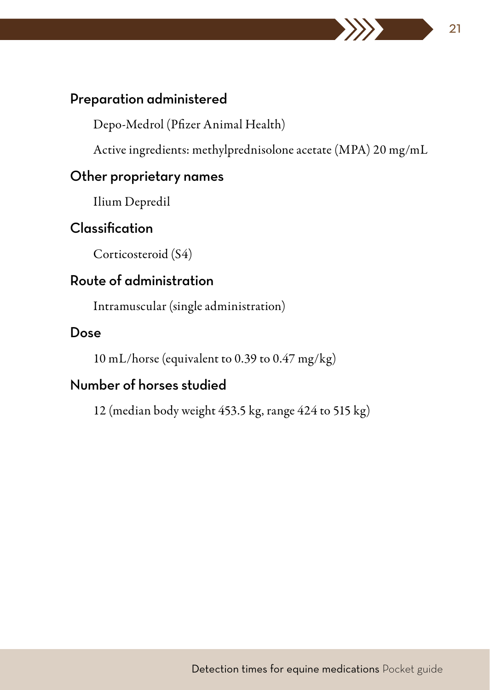Depo-Medrol (Pfizer Animal Health)

Active ingredients: methylprednisolone acetate (MPA) 20 mg/mL

## Other proprietary names

Ilium Depredil

# Classification

Corticosteroid (S4)

# Route of administration

Intramuscular (single administration)

#### Dose

10 mL/horse (equivalent to 0.39 to 0.47 mg/kg)

# Number of horses studied

12 (median body weight 453.5 kg, range 424 to 515 kg)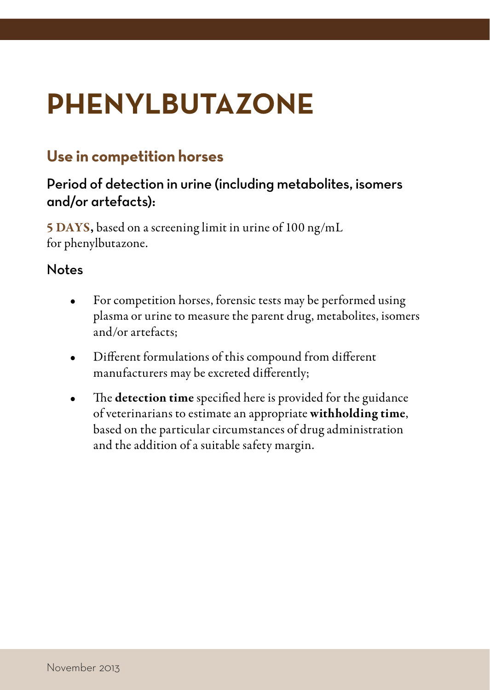# <span id="page-23-0"></span>**PHENYLBUTAZONE**

# **Use in competition horses**

# Period of detection in urine (including metabolites, isomers and/or artefacts):

5 DAYS, based on a screening limit in urine of 100 ng/mL for phenylbutazone.

- For competition horses, forensic tests may be performed using plasma or urine to measure the parent drug, metabolites, isomers and/or artefacts;
- Different formulations of this compound from different manufacturers may be excreted differently;
- The detection time specified here is provided for the guidance of veterinarians to estimate an appropriate withholding time, based on the particular circumstances of drug administration and the addition of a suitable safety margin.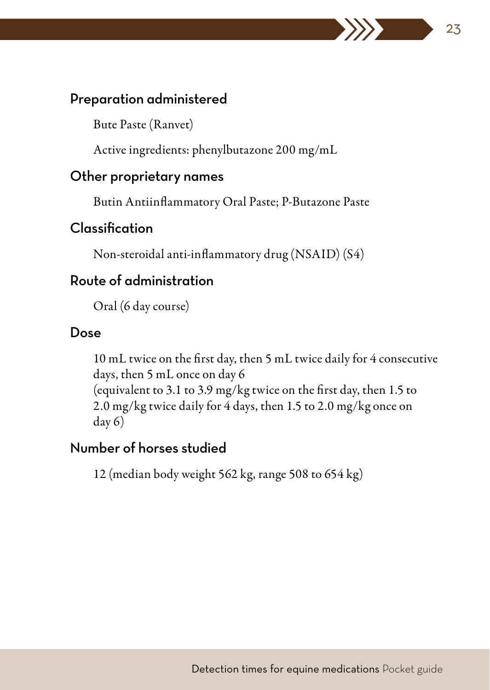Bute Paste (Ranvet)

Active ingredients: phenylbutazone 200 mg/mL

#### Other proprietary names

Butin Antiinflammatory Oral Paste; P-Butazone Paste

23

## Classification

Non-steroidal anti-inflammatory drug (NSAID) (S4)

## Route of administration

Oral (6 day course)

#### Dose

10 mL twice on the first day, then 5 mL twice daily for 4 consecutive days, then 5 mL once on day 6 (equivalent to 3.1 to 3.9 mg/kg twice on the first day, then 1.5 to 2.0 mg/kg twice daily for 4 days, then 1.5 to 2.0 mg/kg once on day 6)

## Number of horses studied

12 (median body weight 562 kg, range 508 to 654 kg)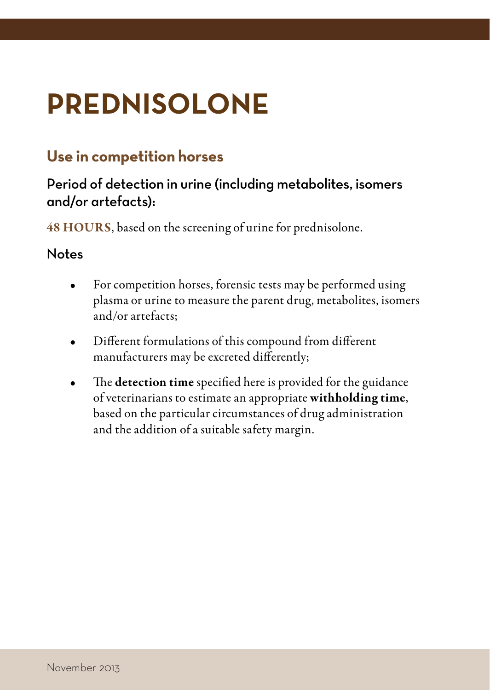# <span id="page-25-0"></span>**PREDNISOLONE**

# **Use in competition horses**

# Period of detection in urine (including metabolites, isomers and/or artefacts):

48 HOURS, based on the screening of urine for prednisolone.

- For competition horses, forensic tests may be performed using plasma or urine to measure the parent drug, metabolites, isomers and/or artefacts;
- Different formulations of this compound from different manufacturers may be excreted differently;
- The detection time specified here is provided for the guidance of veterinarians to estimate an appropriate withholding time, based on the particular circumstances of drug administration and the addition of a suitable safety margin.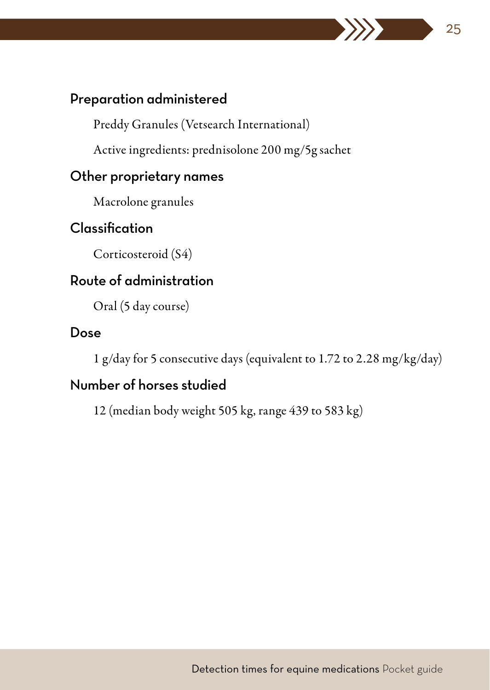Preddy Granules (Vetsearch International)

Active ingredients: prednisolone 200 mg/5g sachet

## Other proprietary names

Macrolone granules

# Classification

Corticosteroid (S4)

# Route of administration

Oral (5 day course)

#### Dose

1 g/day for 5 consecutive days (equivalent to 1.72 to 2.28 mg/kg/day)

25

# Number of horses studied

12 (median body weight 505 kg, range 439 to 583 kg)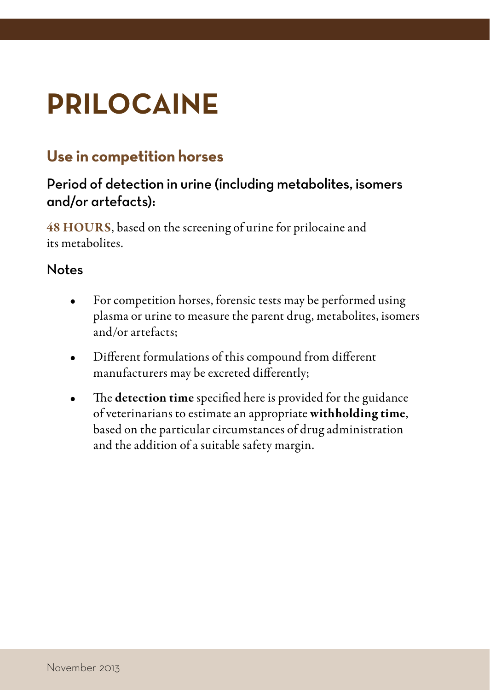# <span id="page-27-0"></span>**PRILOCAINE**

# **Use in competition horses**

# Period of detection in urine (including metabolites, isomers and/or artefacts):

48 HOURS, based on the screening of urine for prilocaine and its metabolites.

- For competition horses, forensic tests may be performed using plasma or urine to measure the parent drug, metabolites, isomers and/or artefacts;
- Different formulations of this compound from different manufacturers may be excreted differently;
- The detection time specified here is provided for the guidance of veterinarians to estimate an appropriate withholding time, based on the particular circumstances of drug administration and the addition of a suitable safety margin.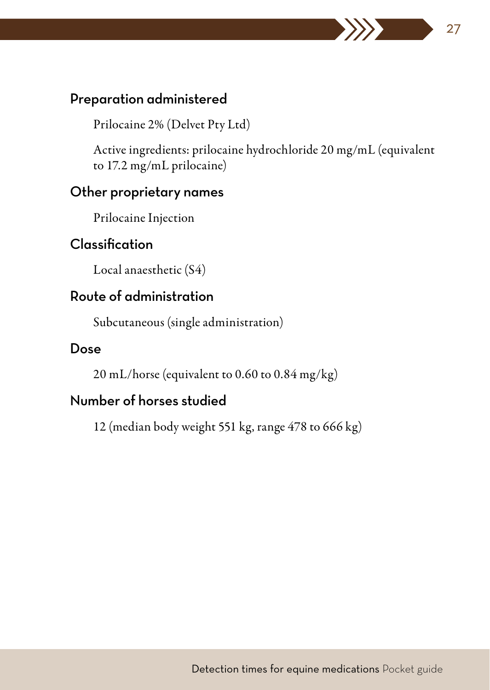Prilocaine 2% (Delvet Pty Ltd)

Active ingredients: prilocaine hydrochloride 20 mg/mL (equivalent to 17.2 mg/mL prilocaine)

27

#### Other proprietary names

Prilocaine Injection

## Classification

Local anaesthetic (S4)

## Route of administration

Subcutaneous (single administration)

#### Dose

20 mL/horse (equivalent to 0.60 to 0.84 mg/kg)

# Number of horses studied

12 (median body weight 551 kg, range 478 to 666 kg)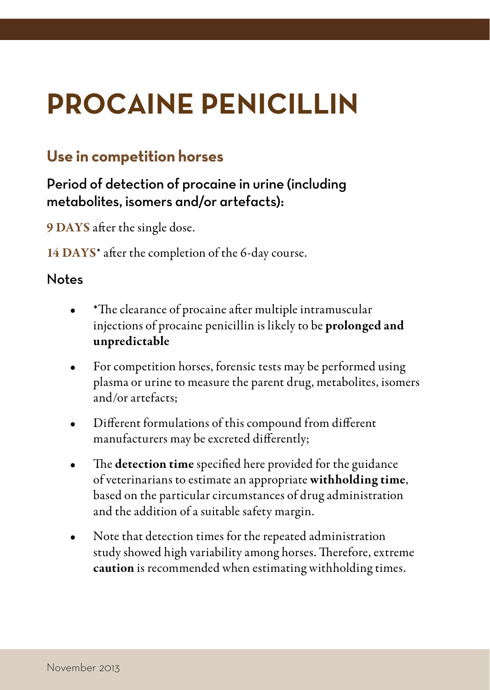# <span id="page-29-0"></span>**PROCAINE PENICILLIN**

# **Use in competition horses**

Period of detection of procaine in urine (including metabolites, isomers and/or artefacts):

9 DAYS after the single dose.

14 DAYS\* after the completion of the 6-day course.

- \*The clearance of procaine after multiple intramuscular injections of procaine penicillin is likely to be prolonged and unpredictable
- For competition horses, forensic tests may be performed using plasma or urine to measure the parent drug, metabolites, isomers and/or artefacts;
- Different formulations of this compound from different manufacturers may be excreted differently;
- The detection time specified here provided for the guidance of veterinarians to estimate an appropriate withholding time, based on the particular circumstances of drug administration and the addition of a suitable safety margin.
- Note that detection times for the repeated administration study showed high variability among horses. Therefore, extreme caution is recommended when estimating withholding times.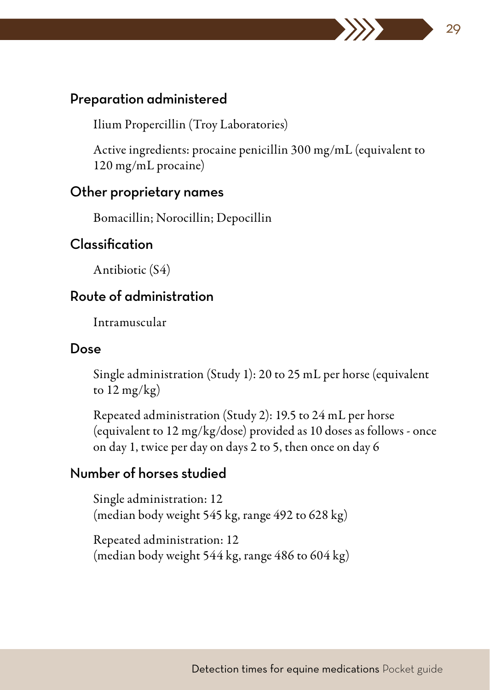Ilium Propercillin (Troy Laboratories)

Active ingredients: procaine penicillin 300 mg/mL (equivalent to 120 mg/mL procaine)

29

#### Other proprietary names

Bomacillin; Norocillin; Depocillin

## Classification

Antibiotic (S4)

## Route of administration

Intramuscular

#### Dose

Single administration (Study 1): 20 to 25 mL per horse (equivalent to 12 mg/kg)

Repeated administration (Study 2): 19.5 to 24 mL per horse (equivalent to 12 mg/kg/dose) provided as 10 doses as follows - once on day 1, twice per day on days 2 to 5, then once on day 6

## Number of horses studied

Single administration: 12 (median body weight 545 kg, range 492 to 628 kg)

Repeated administration: 12 (median body weight 544 kg, range 486 to 604 kg)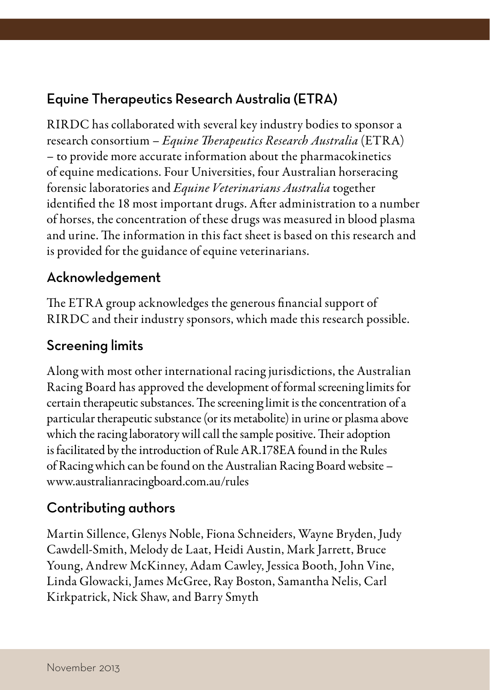# <span id="page-31-0"></span>Equine Therapeutics Research Australia (ETRA)

RIRDC has collaborated with several key industry bodies to sponsor a research consortium – *Equine Therapeutics Research Australia* (ETRA) – to provide more accurate information about the pharmacokinetics of equine medications. Four Universities, four Australian horseracing forensic laboratories and *Equine Veterinarians Australia* together identified the 18 most important drugs. After administration to a number of horses, the concentration of these drugs was measured in blood plasma and urine. The information in this fact sheet is based on this research and is provided for the guidance of equine veterinarians.

## Acknowledgement

The ETRA group acknowledges the generous financial support of RIRDC and their industry sponsors, which made this research possible.

## Screening limits

Along with most other international racing jurisdictions, the Australian Racing Board has approved the development of formal screening limits for certain therapeutic substances. The screening limit is the concentration of a particular therapeutic substance (or its metabolite) in urine or plasma above which the racing laboratory will call the sample positive. Their adoption is facilitated by the introduction of Rule AR.178EA found in the Rules of Racing which can be found on the Australian Racing Board website – [www.australianracingboard.com.au/rules](http://www.australianracingboard.com.au/rules)

# Contributing authors

Martin Sillence, Glenys Noble, Fiona Schneiders, Wayne Bryden, Judy Cawdell-Smith, Melody de Laat, Heidi Austin, Mark Jarrett, Bruce Young, Andrew McKinney, Adam Cawley, Jessica Booth, John Vine, Linda Glowacki, James McGree, Ray Boston, Samantha Nelis, Carl Kirkpatrick, Nick Shaw, and Barry Smyth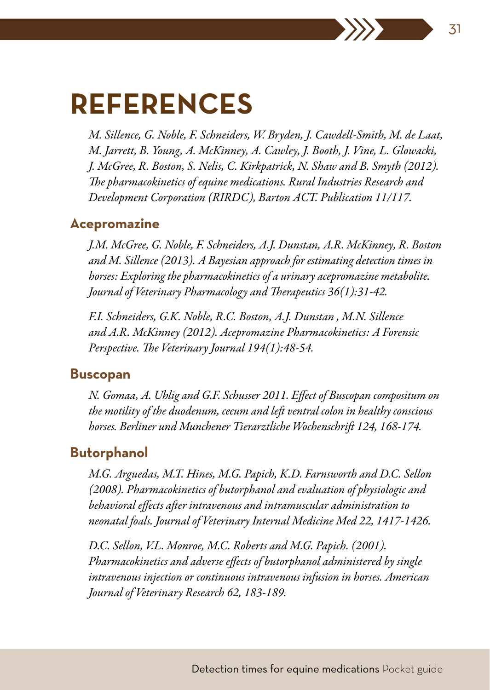# **REFERENCES**

*M. Sillence, G. Noble, F. Schneiders, W. Bryden, J. Cawdell-Smith, M. de Laat, M. Jarrett, B. Young, A. McKinney, A. Cawley, J. Booth, J. Vine, L. Glowacki, J. McGree, R. Boston, S. Nelis, C. Kirkpatrick, N. Shaw and B. Smyth (2012). The pharmacokinetics of equine medications. Rural Industries Research and Development Corporation (RIRDC), Barton ACT. Publication 11/117.*

#### **Acepromazine**

*J.M. McGree, G. Noble, F. Schneiders, A.J. Dunstan, A.R. McKinney, R. Boston and M. Sillence (2013). A Bayesian approach for estimating detection times in horses: Exploring the pharmacokinetics of a urinary acepromazine metabolite. Journal of Veterinary Pharmacology and Therapeutics 36(1):31-42.*

*F.I. Schneiders, G.K. Noble, R.C. Boston, A.J. Dunstan , M.N. Sillence and A.R. McKinney (2012). Acepromazine Pharmacokinetics: A Forensic Perspective. The Veterinary Journal 194(1):48-54.*

#### **Buscopan**

*N. Gomaa, A. Uhlig and G.F. Schusser 2011. Effect of Buscopan compositum on the motility of the duodenum, cecum and left ventral colon in healthy conscious horses. Berliner und Munchener Tierarztliche Wochenschrift 124, 168-174.*

#### **Butorphanol**

*M.G. Arguedas, M.T. Hines, M.G. Papich, K.D. Farnsworth and D.C. Sellon (2008). Pharmacokinetics of butorphanol and evaluation of physiologic and behavioral effects after intravenous and intramuscular administration to neonatal foals. Journal of Veterinary Internal Medicine Med 22, 1417-1426.*

*D.C. Sellon, V.L. Monroe, M.C. Roberts and M.G. Papich. (2001). Pharmacokinetics and adverse effects of butorphanol administered by single intravenous injection or continuous intravenous infusion in horses. American Journal of Veterinary Research 62, 183-189.*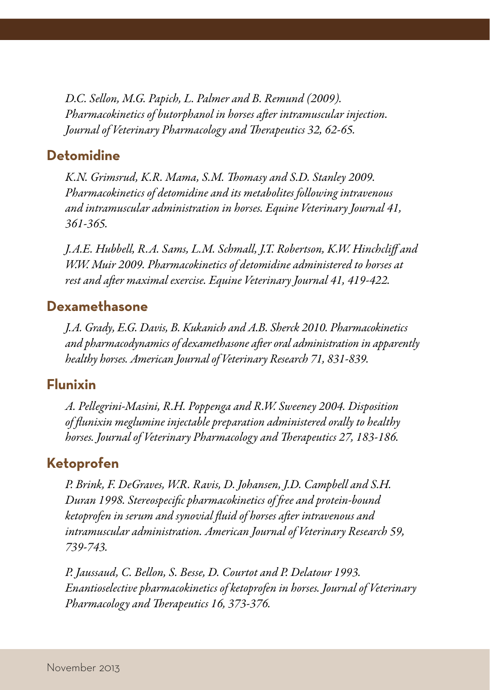<span id="page-33-0"></span>*D.C. Sellon, M.G. Papich, L. Palmer and B. Remund (2009). Pharmacokinetics of butorphanol in horses after intramuscular injection. Journal of Veterinary Pharmacology and Therapeutics 32, 62-65.*

## **Detomidine**

*K.N. Grimsrud, K.R. Mama, S.M. Thomasy and S.D. Stanley 2009. Pharmacokinetics of detomidine and its metabolites following intravenous and intramuscular administration in horses. Equine Veterinary Journal 41, 361-365.*

*J.A.E. Hubbell, R.A. Sams, L.M. Schmall, J.T. Robertson, K.W. Hinchcliff and W.W. Muir 2009. Pharmacokinetics of detomidine administered to horses at rest and after maximal exercise. Equine Veterinary Journal 41, 419-422.*

#### **Dexamethasone**

*J.A. Grady, E.G. Davis, B. Kukanich and A.B. Sherck 2010. Pharmacokinetics and pharmacodynamics of dexamethasone after oral administration in apparently healthy horses. American Journal of Veterinary Research 71, 831-839.*

#### **Flunixin**

*A. Pellegrini-Masini, R.H. Poppenga and R.W. Sweeney 2004. Disposition of flunixin meglumine injectable preparation administered orally to healthy horses. Journal of Veterinary Pharmacology and Therapeutics 27, 183-186.*

### **Ketoprofen**

*P. Brink, F. DeGraves, W.R. Ravis, D. Johansen, J.D. Campbell and S.H. Duran 1998. Stereospecific pharmacokinetics of free and protein-bound ketoprofen in serum and synovial fluid of horses after intravenous and intramuscular administration. American Journal of Veterinary Research 59, 739-743.*

*P. Jaussaud, C. Bellon, S. Besse, D. Courtot and P. Delatour 1993. Enantioselective pharmacokinetics of ketoprofen in horses. Journal of Veterinary Pharmacology and Therapeutics 16, 373-376.*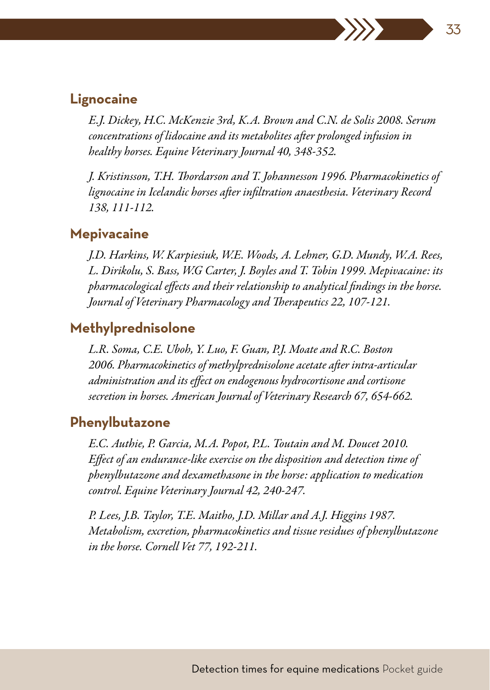#### **Lignocaine**

*E.J. Dickey, H.C. McKenzie 3rd, K.A. Brown and C.N. de Solis 2008. Serum concentrations of lidocaine and its metabolites after prolonged infusion in healthy horses. Equine Veterinary Journal 40, 348-352.*

*J. Kristinsson, T.H. Thordarson and T. Johannesson 1996. Pharmacokinetics of lignocaine in Icelandic horses after infiltration anaesthesia. Veterinary Record 138, 111-112.*

#### **Mepivacaine**

*J.D. Harkins, W. Karpiesiuk, W.E. Woods, A. Lehner, G.D. Mundy, W.A. Rees, L. Dirikolu, S. Bass, W.G Carter, J. Boyles and T. Tobin 1999. Mepivacaine: its pharmacological effects and their relationship to analytical findings in the horse. Journal of Veterinary Pharmacology and Therapeutics 22, 107-121.*

### **Methylprednisolone**

*L.R. Soma, C.E. Uboh, Y. Luo, F. Guan, P.J. Moate and R.C. Boston 2006. Pharmacokinetics of methylprednisolone acetate after intra-articular administration and its effect on endogenous hydrocortisone and cortisone secretion in horses. American Journal of Veterinary Research 67, 654-662.*

## **Phenylbutazone**

*E.C. Authie, P. Garcia, M.A. Popot, P.L. Toutain and M. Doucet 2010. Effect of an endurance-like exercise on the disposition and detection time of phenylbutazone and dexamethasone in the horse: application to medication control. Equine Veterinary Journal 42, 240-247.*

*P. Lees, J.B. Taylor, T.E. Maitho, J.D. Millar and A.J. Higgins 1987. Metabolism, excretion, pharmacokinetics and tissue residues of phenylbutazone in the horse. Cornell Vet 77, 192-211.*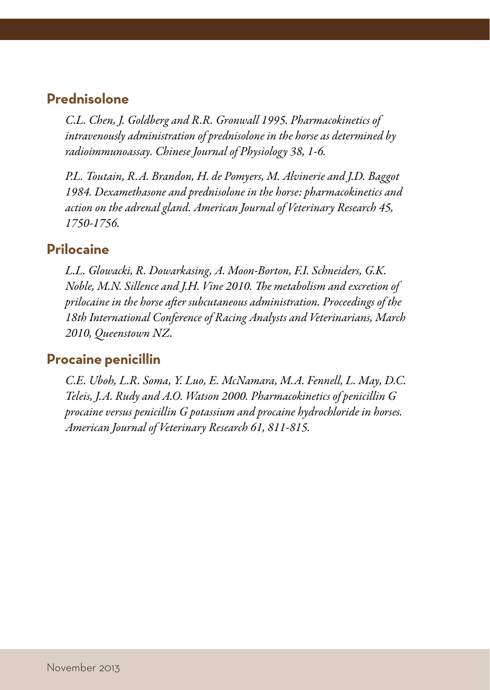#### **Prednisolone**

*C.L. Chen, J. Goldberg and R.R. Gronwall 1995. Pharmacokinetics of intravenously administration of prednisolone in the horse as determined by radioimmunoassay. Chinese Journal of Physiology 38, 1-6.*

*P.L. Toutain, R.A. Brandon, H. de Pomyers, M. Alvinerie and J.D. Baggot 1984. Dexamethasone and prednisolone in the horse: pharmacokinetics and action on the adrenal gland. American Journal of Veterinary Research 45, 1750-1756.*

### **Prilocaine**

*L.L. Glowacki, R. Dowarkasing, A. Moon-Borton, F.I. Schneiders, G.K. Noble, M.N. Sillence and J.H. Vine 2010. The metabolism and excretion of prilocaine in the horse after subcutaneous administration. Proceedings of the 18th International Conference of Racing Analysts and Veterinarians, March 2010, Queenstown NZ.*

#### **Procaine penicillin**

*C.E. Uboh, L.R. Soma, Y. Luo, E. McNamara, M.A. Fennell, L. May, D.C. Teleis, J.A. Rudy and A.O. Watson 2000. Pharmacokinetics of penicillin G procaine versus penicillin G potassium and procaine hydrochloride in horses. American Journal of Veterinary Research 61, 811-815.*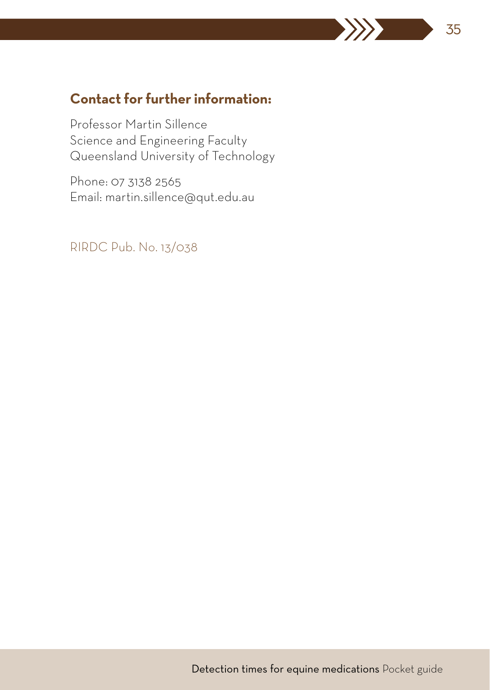# **Contact for further information:**

Professor Martin Sillence Science and Engineering Faculty Queensland University of Technology

Phone: 07 3138 2565 Email: [martin.sillence@qut.edu.au](mailto:martin.sillence@qut.edu.au)

RIRDC Pub. No. 13/038

35